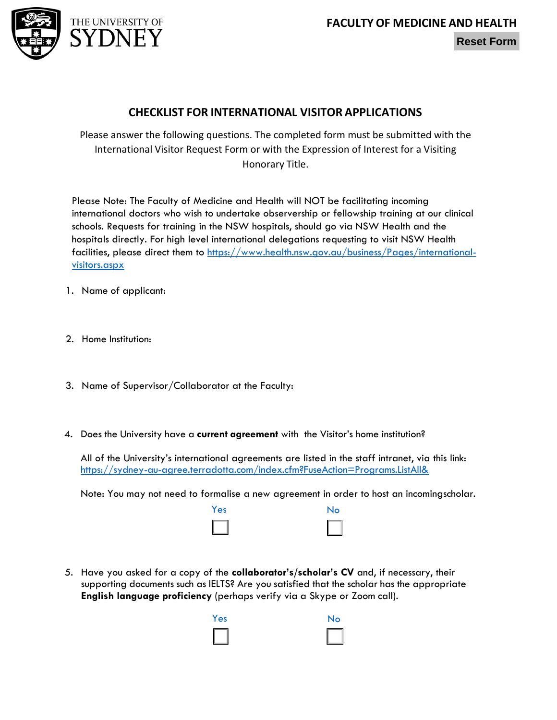

## **Reset Form**

## **CHECKLIST FOR INTERNATIONAL VISITOR APPLICATIONS**

Please answer the following questions. The completed form must be submitted with the International Visitor Request Form or with the Expression of Interest for a Visiting Honorary Title.

Please Note: The Faculty of Medicine and Health will NOT be facilitating incoming international doctors who wish to undertake observership or fellowship training at our clinical schools. Requests for training in the NSW hospitals, should go via NSW Health and the hospitals directly. For high level international delegations requesting to visit NSW Health facilities, please direct them to [https://www.health.nsw.gov.au/business/Pages/international](https://www.health.nsw.gov.au/business/Pages/international-visitors.aspx)[visitors.aspx](https://www.health.nsw.gov.au/business/Pages/international-visitors.aspx)

- 1. Name of applicant:
- 2. Home Institution:
- 3. Name of Supervisor/Collaborator at the Faculty:
- 4. Does the University have a **current agreement** with the Visitor's home institution?

All of the University's international agreements are listed in the staff intranet, via this link: https://sydney-au-agree.terradotta.com/index.cfm?FuseAction=Programs.ListAll&

Note: You may not need to formalise a new agreement in order to host an incomingscholar.



5. Have you asked for a copy of the **collaborator's/scholar's CV** and, if necessary, their supporting documents such as IELTS? Are you satisfied that the scholar has the appropriate **English language proficiency** (perhaps verify via a Skype or Zoom call).

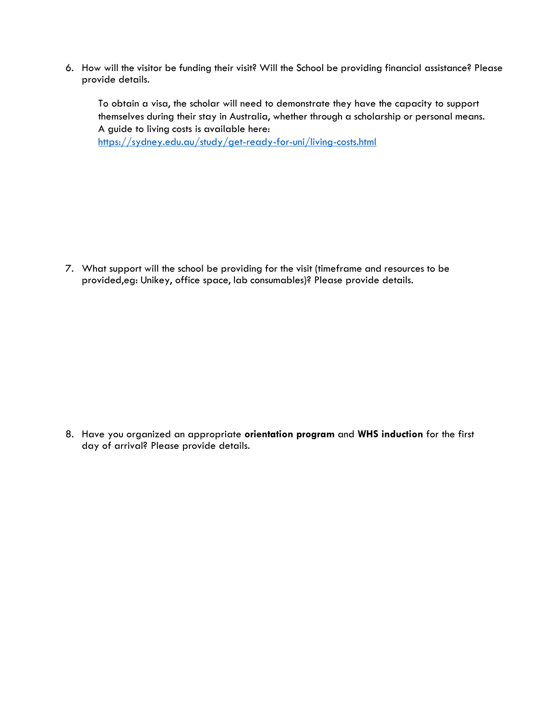6. How will the visitor be funding their visit? Will the School be providing financial assistance? Please provide details.

To obtain a visa, the scholar will need to demonstrate they have the capacity to support themselves during their stay in Australia, whether through a scholarship or personal means. A guide to living costs is available here:

<https://sydney.edu.au/study/get-ready-for-uni/living-costs.html>

7. What support will the school be providing for the visit (timeframe and resources to be provided,eg: Unikey, office space, lab consumables)? Please provide details.

8. Have you organized an appropriate **orientation program** and **WHS induction** for the first day of arrival? Please provide details.